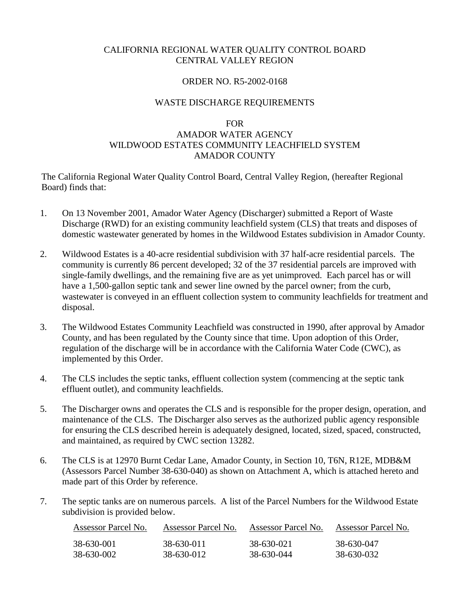### CALIFORNIA REGIONAL WATER QUALITY CONTROL BOARD CENTRAL VALLEY REGION

### ORDER NO. R5-2002-0168

### WASTE DISCHARGE REQUIREMENTS

#### FOR

# AMADOR WATER AGENCY WILDWOOD ESTATES COMMUNITY LEACHFIELD SYSTEM AMADOR COUNTY

The California Regional Water Quality Control Board, Central Valley Region, (hereafter Regional Board) finds that:

- 1. On 13 November 2001, Amador Water Agency (Discharger) submitted a Report of Waste Discharge (RWD) for an existing community leachfield system (CLS) that treats and disposes of domestic wastewater generated by homes in the Wildwood Estates subdivision in Amador County.
- 2. Wildwood Estates is a 40-acre residential subdivision with 37 half-acre residential parcels. The community is currently 86 percent developed; 32 of the 37 residential parcels are improved with single-family dwellings, and the remaining five are as yet unimproved. Each parcel has or will have a 1,500-gallon septic tank and sewer line owned by the parcel owner; from the curb, wastewater is conveyed in an effluent collection system to community leachfields for treatment and disposal.
- 3. The Wildwood Estates Community Leachfield was constructed in 1990, after approval by Amador County, and has been regulated by the County since that time. Upon adoption of this Order, regulation of the discharge will be in accordance with the California Water Code (CWC), as implemented by this Order.
- 4. The CLS includes the septic tanks, effluent collection system (commencing at the septic tank effluent outlet), and community leachfields.
- 5. The Discharger owns and operates the CLS and is responsible for the proper design, operation, and maintenance of the CLS. The Discharger also serves as the authorized public agency responsible for ensuring the CLS described herein is adequately designed, located, sized, spaced, constructed, and maintained, as required by CWC section 13282.
- 6. The CLS is at 12970 Burnt Cedar Lane, Amador County, in Section 10, T6N, R12E, MDB&M (Assessors Parcel Number 38-630-040) as shown on Attachment A, which is attached hereto and made part of this Order by reference.
- 7. The septic tanks are on numerous parcels. A list of the Parcel Numbers for the Wildwood Estate subdivision is provided below.

| Assessor Parcel No. | Assessor Parcel No. | Assessor Parcel No. | Assessor Parcel No. |
|---------------------|---------------------|---------------------|---------------------|
| 38-630-001          | 38-630-011          | 38-630-021          | 38-630-047          |
| 38-630-002          | 38-630-012          | 38-630-044          | 38-630-032          |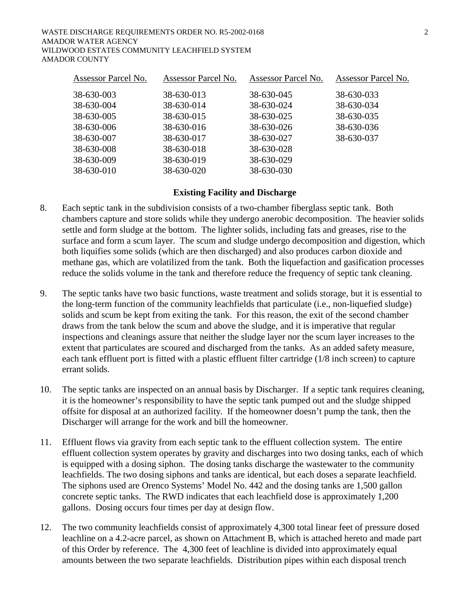| <b>Assessor Parcel No.</b> | Assessor Parcel No. | Assessor Parcel No. | Assessor Parcel No. |
|----------------------------|---------------------|---------------------|---------------------|
| 38-630-003                 | 38-630-013          | 38-630-045          | 38-630-033          |
| 38-630-004                 | 38-630-014          | 38-630-024          | 38-630-034          |
| 38-630-005                 | 38-630-015          | 38-630-025          | 38-630-035          |
| 38-630-006                 | 38-630-016          | 38-630-026          | 38-630-036          |
| 38-630-007                 | 38-630-017          | 38-630-027          | 38-630-037          |
| 38-630-008                 | 38-630-018          | 38-630-028          |                     |
| 38-630-009                 | 38-630-019          | 38-630-029          |                     |
| 38-630-010                 | 38-630-020          | 38-630-030          |                     |

### **Existing Facility and Discharge**

- 8. Each septic tank in the subdivision consists of a two-chamber fiberglass septic tank. Both chambers capture and store solids while they undergo anerobic decomposition. The heavier solids settle and form sludge at the bottom. The lighter solids, including fats and greases, rise to the surface and form a scum layer. The scum and sludge undergo decomposition and digestion, which both liquifies some solids (which are then discharged) and also produces carbon dioxide and methane gas, which are volatilized from the tank. Both the liquefaction and gasification processes reduce the solids volume in the tank and therefore reduce the frequency of septic tank cleaning.
- 9. The septic tanks have two basic functions, waste treatment and solids storage, but it is essential to the long-term function of the community leachfields that particulate (i.e., non-liquefied sludge) solids and scum be kept from exiting the tank. For this reason, the exit of the second chamber draws from the tank below the scum and above the sludge, and it is imperative that regular inspections and cleanings assure that neither the sludge layer nor the scum layer increases to the extent that particulates are scoured and discharged from the tanks. As an added safety measure, each tank effluent port is fitted with a plastic effluent filter cartridge (1/8 inch screen) to capture errant solids.
- 10. The septic tanks are inspected on an annual basis by Discharger. If a septic tank requires cleaning, it is the homeowner's responsibility to have the septic tank pumped out and the sludge shipped offsite for disposal at an authorized facility. If the homeowner doesn't pump the tank, then the Discharger will arrange for the work and bill the homeowner.
- 11. Effluent flows via gravity from each septic tank to the effluent collection system. The entire effluent collection system operates by gravity and discharges into two dosing tanks, each of which is equipped with a dosing siphon. The dosing tanks discharge the wastewater to the community leachfields. The two dosing siphons and tanks are identical, but each doses a separate leachfield. The siphons used are Orenco Systems' Model No. 442 and the dosing tanks are 1,500 gallon concrete septic tanks. The RWD indicates that each leachfield dose is approximately 1,200 gallons. Dosing occurs four times per day at design flow.
- 12. The two community leachfields consist of approximately 4,300 total linear feet of pressure dosed leachline on a 4.2-acre parcel, as shown on Attachment B, which is attached hereto and made part of this Order by reference. The 4,300 feet of leachline is divided into approximately equal amounts between the two separate leachfields. Distribution pipes within each disposal trench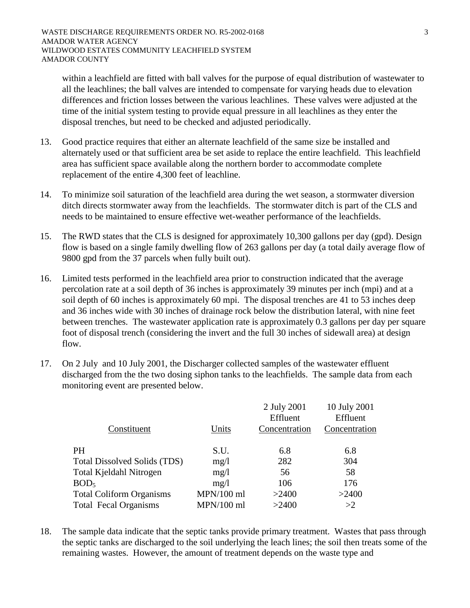within a leachfield are fitted with ball valves for the purpose of equal distribution of wastewater to all the leachlines; the ball valves are intended to compensate for varying heads due to elevation differences and friction losses between the various leachlines. These valves were adjusted at the time of the initial system testing to provide equal pressure in all leachlines as they enter the disposal trenches, but need to be checked and adjusted periodically.

- 13. Good practice requires that either an alternate leachfield of the same size be installed and alternately used or that sufficient area be set aside to replace the entire leachfield. This leachfield area has sufficient space available along the northern border to accommodate complete replacement of the entire 4,300 feet of leachline.
- 14. To minimize soil saturation of the leachfield area during the wet season, a stormwater diversion ditch directs stormwater away from the leachfields. The stormwater ditch is part of the CLS and needs to be maintained to ensure effective wet-weather performance of the leachfields.
- 15. The RWD states that the CLS is designed for approximately 10,300 gallons per day (gpd). Design flow is based on a single family dwelling flow of 263 gallons per day (a total daily average flow of 9800 gpd from the 37 parcels when fully built out).
- 16. Limited tests performed in the leachfield area prior to construction indicated that the average percolation rate at a soil depth of 36 inches is approximately 39 minutes per inch (mpi) and at a soil depth of 60 inches is approximately 60 mpi. The disposal trenches are 41 to 53 inches deep and 36 inches wide with 30 inches of drainage rock below the distribution lateral, with nine feet between trenches. The wastewater application rate is approximately 0.3 gallons per day per square foot of disposal trench (considering the invert and the full 30 inches of sidewall area) at design flow.
- 17. On 2 July and 10 July 2001, the Discharger collected samples of the wastewater effluent discharged from the the two dosing siphon tanks to the leachfields. The sample data from each monitoring event are presented below.

|              | 2 July 2001 | 10 July 2001<br>Effluent  |
|--------------|-------------|---------------------------|
|              |             |                           |
|              |             | Concentration             |
|              |             |                           |
| S.U.         | 6.8         | 6.8                       |
| mg/1         | 282         | 304                       |
| mg/1         | 56          | 58                        |
| mg/1         | 106         | 176                       |
| $MPN/100$ ml | >2400       | >2400                     |
| $MPN/100$ ml | >2400       | >2                        |
|              | Units       | Effluent<br>Concentration |

18. The sample data indicate that the septic tanks provide primary treatment. Wastes that pass through the septic tanks are discharged to the soil underlying the leach lines; the soil then treats some of the remaining wastes. However, the amount of treatment depends on the waste type and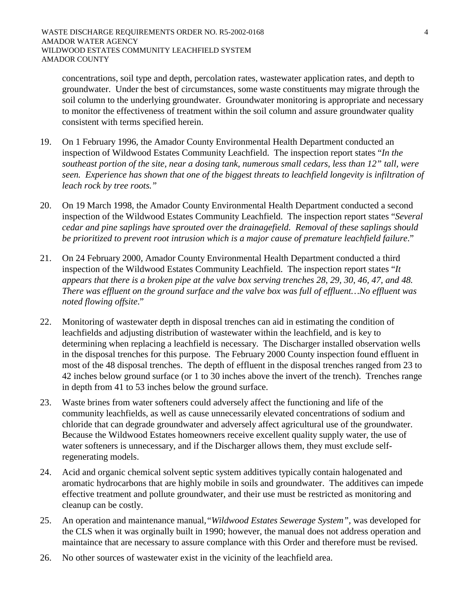concentrations, soil type and depth, percolation rates, wastewater application rates, and depth to groundwater. Under the best of circumstances, some waste constituents may migrate through the soil column to the underlying groundwater. Groundwater monitoring is appropriate and necessary to monitor the effectiveness of treatment within the soil column and assure groundwater quality consistent with terms specified herein.

- 19. On 1 February 1996, the Amador County Environmental Health Department conducted an inspection of Wildwood Estates Community Leachfield. The inspection report states "*In the southeast portion of the site, near a dosing tank, numerous small cedars, less than 12" tall, were seen. Experience has shown that one of the biggest threats to leachfield longevity is infiltration of leach rock by tree roots."*
- 20. On 19 March 1998, the Amador County Environmental Health Department conducted a second inspection of the Wildwood Estates Community Leachfield. The inspection report states "*Several cedar and pine saplings have sprouted over the drainagefield. Removal of these saplings should be prioritized to prevent root intrusion which is a major cause of premature leachfield failure*."
- 21. On 24 February 2000, Amador County Environmental Health Department conducted a third inspection of the Wildwood Estates Community Leachfield. The inspection report states "*It appears that there is a broken pipe at the valve box serving trenches 28, 29, 30, 46, 47, and 48. There was effluent on the ground surface and the valve box was full of effluent…No effluent was noted flowing offsite*."
- 22. Monitoring of wastewater depth in disposal trenches can aid in estimating the condition of leachfields and adjusting distribution of wastewater within the leachfield, and is key to determining when replacing a leachfield is necessary. The Discharger installed observation wells in the disposal trenches for this purpose. The February 2000 County inspection found effluent in most of the 48 disposal trenches. The depth of effluent in the disposal trenches ranged from 23 to 42 inches below ground surface (or 1 to 30 inches above the invert of the trench). Trenches range in depth from 41 to 53 inches below the ground surface.
- 23. Waste brines from water softeners could adversely affect the functioning and life of the community leachfields, as well as cause unnecessarily elevated concentrations of sodium and chloride that can degrade groundwater and adversely affect agricultural use of the groundwater. Because the Wildwood Estates homeowners receive excellent quality supply water, the use of water softeners is unnecessary, and if the Discharger allows them, they must exclude selfregenerating models.
- 24. Acid and organic chemical solvent septic system additives typically contain halogenated and aromatic hydrocarbons that are highly mobile in soils and groundwater. The additives can impede effective treatment and pollute groundwater, and their use must be restricted as monitoring and cleanup can be costly.
- 25. An operation and maintenance manual*,"Wildwood Estates Sewerage System",* was developed for the CLS when it was orginally built in 1990; however, the manual does not address operation and maintaince that are necessary to assure complance with this Order and therefore must be revised.
- 26. No other sources of wastewater exist in the vicinity of the leachfield area.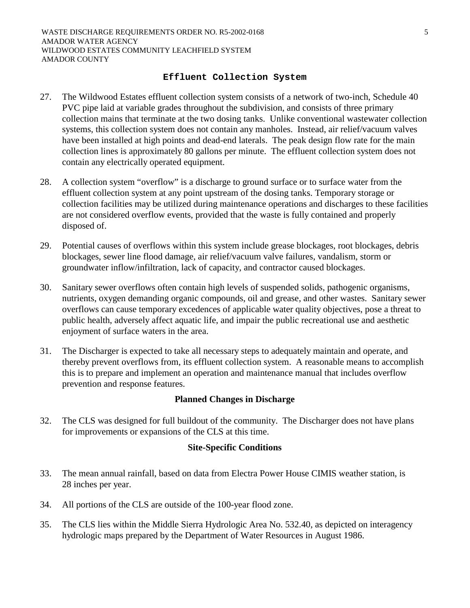#### **Effluent Collection System**

- 27. The Wildwood Estates effluent collection system consists of a network of two-inch, Schedule 40 PVC pipe laid at variable grades throughout the subdivision, and consists of three primary collection mains that terminate at the two dosing tanks. Unlike conventional wastewater collection systems, this collection system does not contain any manholes. Instead, air relief/vacuum valves have been installed at high points and dead-end laterals. The peak design flow rate for the main collection lines is approximately 80 gallons per minute. The effluent collection system does not contain any electrically operated equipment.
- 28. A collection system "overflow" is a discharge to ground surface or to surface water from the effluent collection system at any point upstream of the dosing tanks. Temporary storage or collection facilities may be utilized during maintenance operations and discharges to these facilities are not considered overflow events, provided that the waste is fully contained and properly disposed of.
- 29. Potential causes of overflows within this system include grease blockages, root blockages, debris blockages, sewer line flood damage, air relief/vacuum valve failures, vandalism, storm or groundwater inflow/infiltration, lack of capacity, and contractor caused blockages.
- 30. Sanitary sewer overflows often contain high levels of suspended solids, pathogenic organisms, nutrients, oxygen demanding organic compounds, oil and grease, and other wastes. Sanitary sewer overflows can cause temporary excedences of applicable water quality objectives, pose a threat to public health, adversely affect aquatic life, and impair the public recreational use and aesthetic enjoyment of surface waters in the area.
- 31. The Discharger is expected to take all necessary steps to adequately maintain and operate, and thereby prevent overflows from, its effluent collection system. A reasonable means to accomplish this is to prepare and implement an operation and maintenance manual that includes overflow prevention and response features.

### **Planned Changes in Discharge**

32. The CLS was designed for full buildout of the community. The Discharger does not have plans for improvements or expansions of the CLS at this time.

### **Site-Specific Conditions**

- 33. The mean annual rainfall, based on data from Electra Power House CIMIS weather station, is 28 inches per year.
- 34. All portions of the CLS are outside of the 100-year flood zone.
- 35. The CLS lies within the Middle Sierra Hydrologic Area No. 532.40, as depicted on interagency hydrologic maps prepared by the Department of Water Resources in August 1986.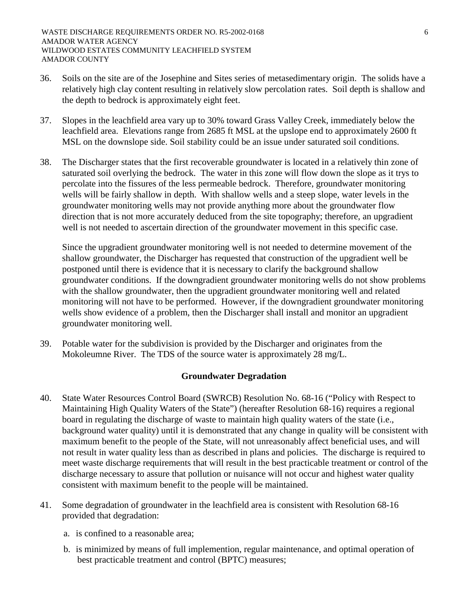- 36. Soils on the site are of the Josephine and Sites series of metasedimentary origin. The solids have a relatively high clay content resulting in relatively slow percolation rates. Soil depth is shallow and the depth to bedrock is approximately eight feet.
- 37. Slopes in the leachfield area vary up to 30% toward Grass Valley Creek, immediately below the leachfield area. Elevations range from 2685 ft MSL at the upslope end to approximately 2600 ft MSL on the downslope side. Soil stability could be an issue under saturated soil conditions.
- 38. The Discharger states that the first recoverable groundwater is located in a relatively thin zone of saturated soil overlying the bedrock. The water in this zone will flow down the slope as it trys to percolate into the fissures of the less permeable bedrock. Therefore, groundwater monitoring wells will be fairly shallow in depth. With shallow wells and a steep slope, water levels in the groundwater monitoring wells may not provide anything more about the groundwater flow direction that is not more accurately deduced from the site topography; therefore, an upgradient well is not needed to ascertain direction of the groundwater movement in this specific case.

Since the upgradient groundwater monitoring well is not needed to determine movement of the shallow groundwater, the Discharger has requested that construction of the upgradient well be postponed until there is evidence that it is necessary to clarify the background shallow groundwater conditions. If the downgradient groundwater monitoring wells do not show problems with the shallow groundwater, then the upgradient groundwater monitoring well and related monitoring will not have to be performed. However, if the downgradient groundwater monitoring wells show evidence of a problem, then the Discharger shall install and monitor an upgradient groundwater monitoring well.

39. Potable water for the subdivision is provided by the Discharger and originates from the Mokoleumne River. The TDS of the source water is approximately 28 mg/L.

# **Groundwater Degradation**

- 40. State Water Resources Control Board (SWRCB) Resolution No. 68-16 ("Policy with Respect to Maintaining High Quality Waters of the State") (hereafter Resolution 68-16) requires a regional board in regulating the discharge of waste to maintain high quality waters of the state (i.e., background water quality) until it is demonstrated that any change in quality will be consistent with maximum benefit to the people of the State, will not unreasonably affect beneficial uses, and will not result in water quality less than as described in plans and policies. The discharge is required to meet waste discharge requirements that will result in the best practicable treatment or control of the discharge necessary to assure that pollution or nuisance will not occur and highest water quality consistent with maximum benefit to the people will be maintained.
- 41. Some degradation of groundwater in the leachfield area is consistent with Resolution 68-16 provided that degradation:
	- a. is confined to a reasonable area;
	- b. is minimized by means of full implemention, regular maintenance, and optimal operation of best practicable treatment and control (BPTC) measures;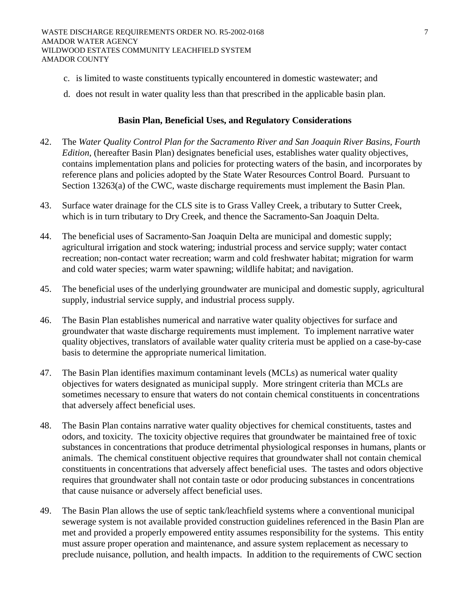- c. is limited to waste constituents typically encountered in domestic wastewater; and
- d. does not result in water quality less than that prescribed in the applicable basin plan.

### **Basin Plan, Beneficial Uses, and Regulatory Considerations**

- 42. The *Water Quality Control Plan for the Sacramento River and San Joaquin River Basins, Fourth Edition*, (hereafter Basin Plan) designates beneficial uses, establishes water quality objectives, contains implementation plans and policies for protecting waters of the basin, and incorporates by reference plans and policies adopted by the State Water Resources Control Board. Pursuant to Section 13263(a) of the CWC, waste discharge requirements must implement the Basin Plan.
- 43. Surface water drainage for the CLS site is to Grass Valley Creek, a tributary to Sutter Creek, which is in turn tributary to Dry Creek, and thence the Sacramento-San Joaquin Delta.
- 44. The beneficial uses of Sacramento-San Joaquin Delta are municipal and domestic supply; agricultural irrigation and stock watering; industrial process and service supply; water contact recreation; non-contact water recreation; warm and cold freshwater habitat; migration for warm and cold water species; warm water spawning; wildlife habitat; and navigation.
- 45. The beneficial uses of the underlying groundwater are municipal and domestic supply, agricultural supply, industrial service supply, and industrial process supply.
- 46. The Basin Plan establishes numerical and narrative water quality objectives for surface and groundwater that waste discharge requirements must implement. To implement narrative water quality objectives, translators of available water quality criteria must be applied on a case-by-case basis to determine the appropriate numerical limitation.
- 47. The Basin Plan identifies maximum contaminant levels (MCLs) as numerical water quality objectives for waters designated as municipal supply. More stringent criteria than MCLs are sometimes necessary to ensure that waters do not contain chemical constituents in concentrations that adversely affect beneficial uses.
- 48. The Basin Plan contains narrative water quality objectives for chemical constituents, tastes and odors, and toxicity. The toxicity objective requires that groundwater be maintained free of toxic substances in concentrations that produce detrimental physiological responses in humans, plants or animals. The chemical constituent objective requires that groundwater shall not contain chemical constituents in concentrations that adversely affect beneficial uses. The tastes and odors objective requires that groundwater shall not contain taste or odor producing substances in concentrations that cause nuisance or adversely affect beneficial uses.
- 49. The Basin Plan allows the use of septic tank/leachfield systems where a conventional municipal sewerage system is not available provided construction guidelines referenced in the Basin Plan are met and provided a properly empowered entity assumes responsibility for the systems. This entity must assure proper operation and maintenance, and assure system replacement as necessary to preclude nuisance, pollution, and health impacts. In addition to the requirements of CWC section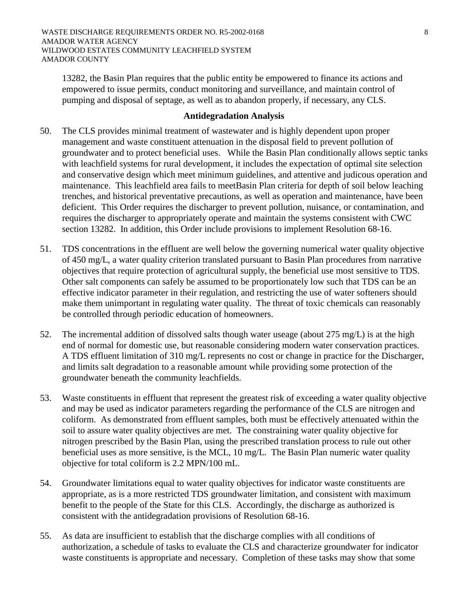13282, the Basin Plan requires that the public entity be empowered to finance its actions and empowered to issue permits, conduct monitoring and surveillance, and maintain control of pumping and disposal of septage, as well as to abandon properly, if necessary, any CLS.

### **Antidegradation Analysis**

- 50. The CLS provides minimal treatment of wastewater and is highly dependent upon proper management and waste constituent attenuation in the disposal field to prevent pollution of groundwater and to protect beneficial uses. While the Basin Plan conditionally allows septic tanks with leachfield systems for rural development, it includes the expectation of optimal site selection and conservative design which meet minimum guidelines, and attentive and judicous operation and maintenance. This leachfield area fails to meetBasin Plan criteria for depth of soil below leaching trenches, and historical preventative precautions, as well as operation and maintenance, have been deficient. This Order requires the discharger to prevent pollution, nuisance, or contamination, and requires the discharger to appropriately operate and maintain the systems consistent with CWC section 13282. In addition, this Order include provisions to implement Resolution 68-16.
- 51. TDS concentrations in the effluent are well below the governing numerical water quality objective of 450 mg/L, a water quality criterion translated pursuant to Basin Plan procedures from narrative objectives that require protection of agricultural supply, the beneficial use most sensitive to TDS. Other salt components can safely be assumed to be proportionately low such that TDS can be an effective indicator parameter in their regulation, and restricting the use of water softeners should make them unimportant in regulating water quality. The threat of toxic chemicals can reasonably be controlled through periodic education of homeowners.
- 52. The incremental addition of dissolved salts though water useage (about 275 mg/L) is at the high end of normal for domestic use, but reasonable considering modern water conservation practices. A TDS effluent limitation of 310 mg/L represents no cost or change in practice for the Discharger, and limits salt degradation to a reasonable amount while providing some protection of the groundwater beneath the community leachfields.
- 53. Waste constituents in effluent that represent the greatest risk of exceeding a water quality objective and may be used as indicator parameters regarding the performance of the CLS are nitrogen and coliform. As demonstrated from effluent samples, both must be effectively attenuated within the soil to assure water quality objectives are met. The constraining water quality objective for nitrogen prescribed by the Basin Plan, using the prescribed translation process to rule out other beneficial uses as more sensitive, is the MCL, 10 mg/L. The Basin Plan numeric water quality objective for total coliform is 2.2 MPN/100 mL.
- 54. Groundwater limitations equal to water quality objectives for indicator waste constituents are appropriate, as is a more restricted TDS groundwater limitation, and consistent with maximum benefit to the people of the State for this CLS. Accordingly, the discharge as authorized is consistent with the antidegradation provisions of Resolution 68-16.
- 55. As data are insufficient to establish that the discharge complies with all conditions of authorization, a schedule of tasks to evaluate the CLS and characterize groundwater for indicator waste constituents is appropriate and necessary. Completion of these tasks may show that some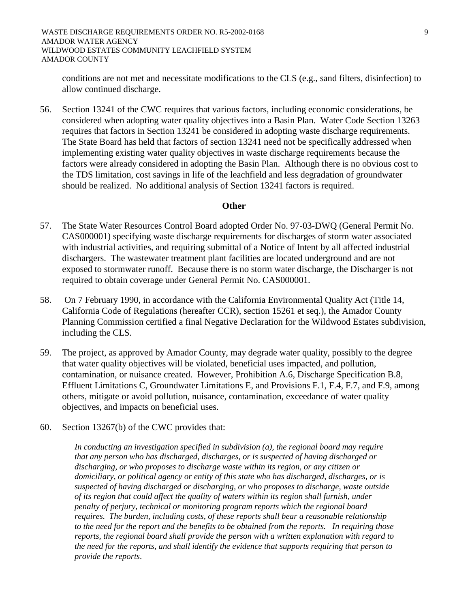conditions are not met and necessitate modifications to the CLS (e.g., sand filters, disinfection) to allow continued discharge.

56. Section 13241 of the CWC requires that various factors, including economic considerations, be considered when adopting water quality objectives into a Basin Plan. Water Code Section 13263 requires that factors in Section 13241 be considered in adopting waste discharge requirements. The State Board has held that factors of section 13241 need not be specifically addressed when implementing existing water quality objectives in waste discharge requirements because the factors were already considered in adopting the Basin Plan. Although there is no obvious cost to the TDS limitation, cost savings in life of the leachfield and less degradation of groundwater should be realized. No additional analysis of Section 13241 factors is required.

#### **Other**

- 57. The State Water Resources Control Board adopted Order No. 97-03-DWQ (General Permit No. CAS000001) specifying waste discharge requirements for discharges of storm water associated with industrial activities, and requiring submittal of a Notice of Intent by all affected industrial dischargers. The wastewater treatment plant facilities are located underground and are not exposed to stormwater runoff. Because there is no storm water discharge, the Discharger is not required to obtain coverage under General Permit No. CAS000001.
- 58. On 7 February 1990, in accordance with the California Environmental Quality Act (Title 14, California Code of Regulations (hereafter CCR), section 15261 et seq.), the Amador County Planning Commission certified a final Negative Declaration for the Wildwood Estates subdivision, including the CLS.
- 59. The project, as approved by Amador County, may degrade water quality, possibly to the degree that water quality objectives will be violated, beneficial uses impacted, and pollution, contamination, or nuisance created. However, Prohibition A.6, Discharge Specification B.8, Effluent Limitations C, Groundwater Limitations E, and Provisions F.1, F.4, F.7, and F.9, among others, mitigate or avoid pollution, nuisance, contamination, exceedance of water quality objectives, and impacts on beneficial uses.
- 60. Section 13267(b) of the CWC provides that:

*In conducting an investigation specified in subdivision (a), the regional board may require that any person who has discharged, discharges, or is suspected of having discharged or discharging, or who proposes to discharge waste within its region, or any citizen or domiciliary, or political agency or entity of this state who has discharged, discharges, or is suspected of having discharged or discharging, or who proposes to discharge, waste outside of its region that could affect the quality of waters within its region shall furnish, under penalty of perjury, technical or monitoring program reports which the regional board requires. The burden, including costs, of these reports shall bear a reasonable relationship to the need for the report and the benefits to be obtained from the reports. In requiring those reports, the regional board shall provide the person with a written explanation with regard to the need for the reports, and shall identify the evidence that supports requiring that person to provide the reports*.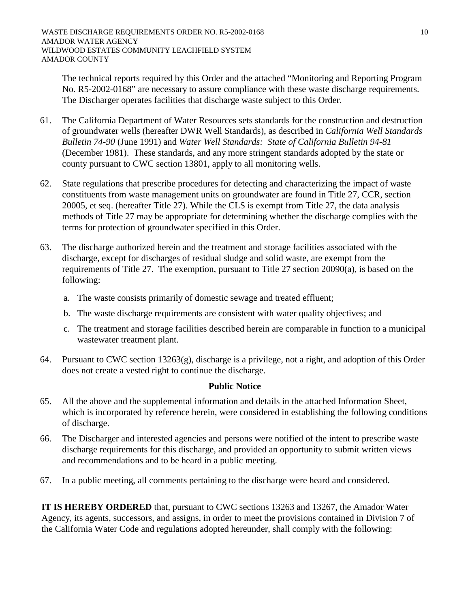The technical reports required by this Order and the attached "Monitoring and Reporting Program No. R5-2002-0168" are necessary to assure compliance with these waste discharge requirements. The Discharger operates facilities that discharge waste subject to this Order.

- 61. The California Department of Water Resources sets standards for the construction and destruction of groundwater wells (hereafter DWR Well Standards), as described in *California Well Standards Bulletin 74-90* (June 1991) and *Water Well Standards: State of California Bulletin 94-81* (December 1981). These standards, and any more stringent standards adopted by the state or county pursuant to CWC section 13801, apply to all monitoring wells.
- 62. State regulations that prescribe procedures for detecting and characterizing the impact of waste constituents from waste management units on groundwater are found in Title 27, CCR, section 20005, et seq. (hereafter Title 27). While the CLS is exempt from Title 27, the data analysis methods of Title 27 may be appropriate for determining whether the discharge complies with the terms for protection of groundwater specified in this Order.
- 63. The discharge authorized herein and the treatment and storage facilities associated with the discharge, except for discharges of residual sludge and solid waste, are exempt from the requirements of Title 27. The exemption, pursuant to Title 27 section 20090(a), is based on the following:
	- a. The waste consists primarily of domestic sewage and treated effluent;
	- b. The waste discharge requirements are consistent with water quality objectives; and
	- c. The treatment and storage facilities described herein are comparable in function to a municipal wastewater treatment plant.
- 64. Pursuant to CWC section 13263(g), discharge is a privilege, not a right, and adoption of this Order does not create a vested right to continue the discharge.

# **Public Notice**

- 65. All the above and the supplemental information and details in the attached Information Sheet, which is incorporated by reference herein, were considered in establishing the following conditions of discharge.
- 66. The Discharger and interested agencies and persons were notified of the intent to prescribe waste discharge requirements for this discharge, and provided an opportunity to submit written views and recommendations and to be heard in a public meeting.
- 67. In a public meeting, all comments pertaining to the discharge were heard and considered.

**IT IS HEREBY ORDERED** that, pursuant to CWC sections 13263 and 13267, the Amador Water Agency, its agents, successors, and assigns, in order to meet the provisions contained in Division 7 of the California Water Code and regulations adopted hereunder, shall comply with the following: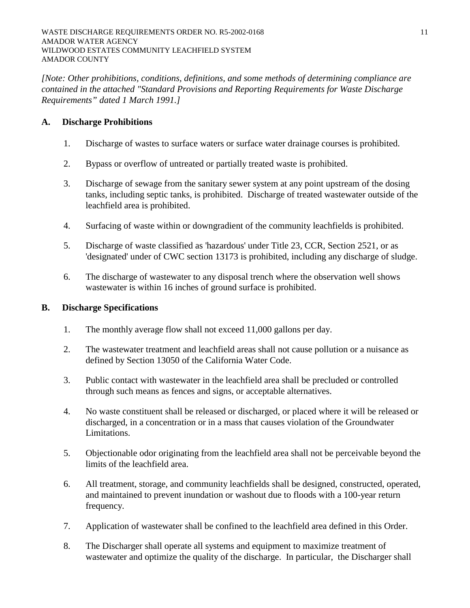*[Note: Other prohibitions, conditions, definitions, and some methods of determining compliance are contained in the attached "Standard Provisions and Reporting Requirements for Waste Discharge Requirements" dated 1 March 1991.]*

## **A. Discharge Prohibitions**

- 1. Discharge of wastes to surface waters or surface water drainage courses is prohibited.
- 2. Bypass or overflow of untreated or partially treated waste is prohibited.
- 3. Discharge of sewage from the sanitary sewer system at any point upstream of the dosing tanks, including septic tanks, is prohibited. Discharge of treated wastewater outside of the leachfield area is prohibited.
- 4. Surfacing of waste within or downgradient of the community leachfields is prohibited.
- 5. Discharge of waste classified as 'hazardous' under Title 23, CCR, Section 2521, or as 'designated' under of CWC section 13173 is prohibited, including any discharge of sludge.
- 6. The discharge of wastewater to any disposal trench where the observation well shows wastewater is within 16 inches of ground surface is prohibited.

## **B. Discharge Specifications**

- 1. The monthly average flow shall not exceed 11,000 gallons per day.
- 2. The wastewater treatment and leachfield areas shall not cause pollution or a nuisance as defined by Section 13050 of the California Water Code.
- 3. Public contact with wastewater in the leachfield area shall be precluded or controlled through such means as fences and signs, or acceptable alternatives.
- 4. No waste constituent shall be released or discharged, or placed where it will be released or discharged, in a concentration or in a mass that causes violation of the Groundwater Limitations.
- 5. Objectionable odor originating from the leachfield area shall not be perceivable beyond the limits of the leachfield area.
- 6. All treatment, storage, and community leachfields shall be designed, constructed, operated, and maintained to prevent inundation or washout due to floods with a 100-year return frequency.
- 7. Application of wastewater shall be confined to the leachfield area defined in this Order.
- 8. The Discharger shall operate all systems and equipment to maximize treatment of wastewater and optimize the quality of the discharge. In particular, the Discharger shall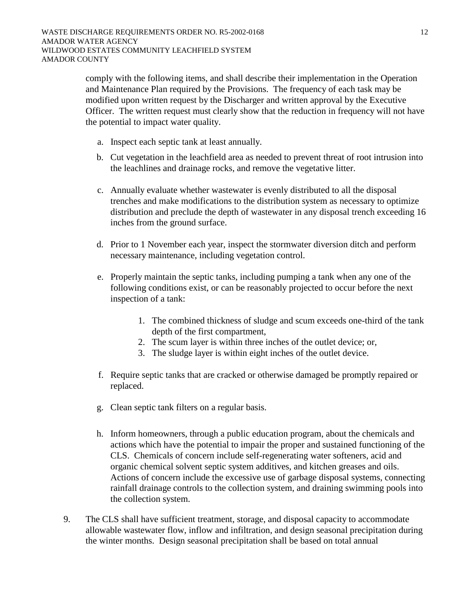comply with the following items, and shall describe their implementation in the Operation and Maintenance Plan required by the Provisions. The frequency of each task may be modified upon written request by the Discharger and written approval by the Executive Officer. The written request must clearly show that the reduction in frequency will not have the potential to impact water quality.

- a. Inspect each septic tank at least annually.
- b. Cut vegetation in the leachfield area as needed to prevent threat of root intrusion into the leachlines and drainage rocks, and remove the vegetative litter.
- c. Annually evaluate whether wastewater is evenly distributed to all the disposal trenches and make modifications to the distribution system as necessary to optimize distribution and preclude the depth of wastewater in any disposal trench exceeding 16 inches from the ground surface.
- d. Prior to 1 November each year, inspect the stormwater diversion ditch and perform necessary maintenance, including vegetation control.
- e. Properly maintain the septic tanks, including pumping a tank when any one of the following conditions exist, or can be reasonably projected to occur before the next inspection of a tank:
	- 1. The combined thickness of sludge and scum exceeds one-third of the tank depth of the first compartment,
	- 2. The scum layer is within three inches of the outlet device; or,
	- 3. The sludge layer is within eight inches of the outlet device.
- f. Require septic tanks that are cracked or otherwise damaged be promptly repaired or replaced.
- g. Clean septic tank filters on a regular basis.
- h. Inform homeowners, through a public education program, about the chemicals and actions which have the potential to impair the proper and sustained functioning of the CLS. Chemicals of concern include self-regenerating water softeners, acid and organic chemical solvent septic system additives, and kitchen greases and oils. Actions of concern include the excessive use of garbage disposal systems, connecting rainfall drainage controls to the collection system, and draining swimming pools into the collection system.
- 9. The CLS shall have sufficient treatment, storage, and disposal capacity to accommodate allowable wastewater flow, inflow and infiltration, and design seasonal precipitation during the winter months. Design seasonal precipitation shall be based on total annual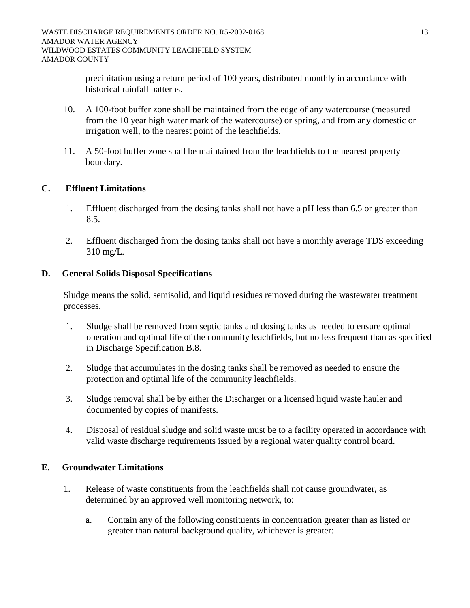precipitation using a return period of 100 years, distributed monthly in accordance with historical rainfall patterns.

- 10. A 100-foot buffer zone shall be maintained from the edge of any watercourse (measured from the 10 year high water mark of the watercourse) or spring, and from any domestic or irrigation well, to the nearest point of the leachfields.
- 11. A 50-foot buffer zone shall be maintained from the leachfields to the nearest property boundary.

# **C. Effluent Limitations**

- 1. Effluent discharged from the dosing tanks shall not have a pH less than 6.5 or greater than 8.5.
- 2. Effluent discharged from the dosing tanks shall not have a monthly average TDS exceeding 310 mg/L*.*

# **D. General Solids Disposal Specifications**

Sludge means the solid, semisolid, and liquid residues removed during the wastewater treatment processes.

- 1. Sludge shall be removed from septic tanks and dosing tanks as needed to ensure optimal operation and optimal life of the community leachfields, but no less frequent than as specified in Discharge Specification B.8.
- 2. Sludge that accumulates in the dosing tanks shall be removed as needed to ensure the protection and optimal life of the community leachfields.
- 3. Sludge removal shall be by either the Discharger or a licensed liquid waste hauler and documented by copies of manifests.
- 4. Disposal of residual sludge and solid waste must be to a facility operated in accordance with valid waste discharge requirements issued by a regional water quality control board.

# **E. Groundwater Limitations**

- 1. Release of waste constituents from the leachfields shall not cause groundwater, as determined by an approved well monitoring network, to:
	- a. Contain any of the following constituents in concentration greater than as listed or greater than natural background quality, whichever is greater: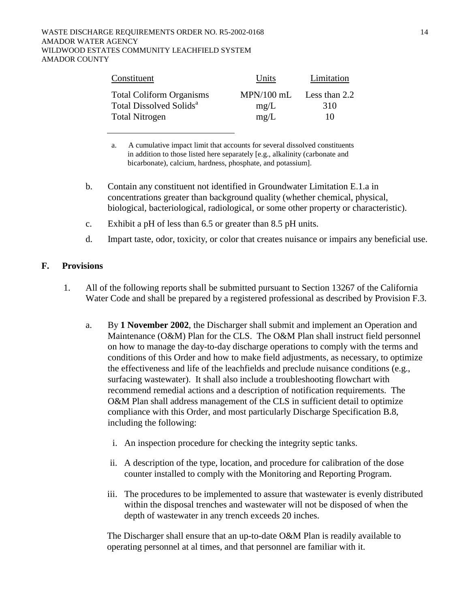| Constituent                         | Units        | Limitation    |
|-------------------------------------|--------------|---------------|
| <b>Total Coliform Organisms</b>     | $MPN/100$ mL | Less than 2.2 |
| Total Dissolved Solids <sup>a</sup> | mg/L         | 310           |
| <b>Total Nitrogen</b>               | mg/L         | 10            |

a. A cumulative impact limit that accounts for several dissolved constituents in addition to those listed here separately [e.g., alkalinity (carbonate and bicarbonate), calcium, hardness, phosphate, and potassium].

- b. Contain any constituent not identified in Groundwater Limitation E.1.a in concentrations greater than background quality (whether chemical, physical, biological, bacteriological, radiological, or some other property or characteristic).
- c. Exhibit a pH of less than 6.5 or greater than 8.5 pH units.
- d. Impart taste, odor, toxicity, or color that creates nuisance or impairs any beneficial use.

### **F. Provisions**

- 1. All of the following reports shall be submitted pursuant to Section 13267 of the California Water Code and shall be prepared by a registered professional as described by Provision F.3.
	- a. By **1 November 2002**, the Discharger shall submit and implement an Operation and Maintenance (O&M) Plan for the CLS. The O&M Plan shall instruct field personnel on how to manage the day-to-day discharge operations to comply with the terms and conditions of this Order and how to make field adjustments, as necessary, to optimize the effectiveness and life of the leachfields and preclude nuisance conditions (e.g., surfacing wastewater). It shall also include a troubleshooting flowchart with recommend remedial actions and a description of notification requirements. The O&M Plan shall address management of the CLS in sufficient detail to optimize compliance with this Order, and most particularly Discharge Specification B.8, including the following:
		- i. An inspection procedure for checking the integrity septic tanks.
		- ii. A description of the type, location, and procedure for calibration of the dose counter installed to comply with the Monitoring and Reporting Program.
		- iii. The procedures to be implemented to assure that wastewater is evenly distributed within the disposal trenches and wastewater will not be disposed of when the depth of wastewater in any trench exceeds 20 inches.

The Discharger shall ensure that an up-to-date O&M Plan is readily available to operating personnel at al times, and that personnel are familiar with it.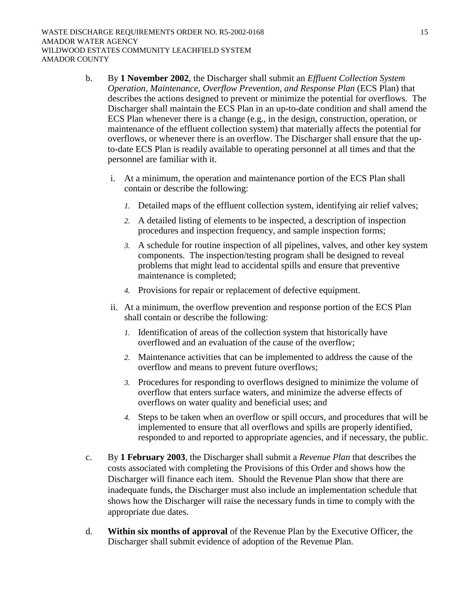- b. By **1 November 2002**, the Discharger shall submit an *Effluent Collection System Operation, Maintenance, Overflow Prevention, and Response Plan* (ECS Plan) that describes the actions designed to prevent or minimize the potential for overflows. The Discharger shall maintain the ECS Plan in an up-to-date condition and shall amend the ECS Plan whenever there is a change (e.g., in the design, construction, operation, or maintenance of the effluent collection system) that materially affects the potential for overflows, or whenever there is an overflow. The Discharger shall ensure that the upto-date ECS Plan is readily available to operating personnel at all times and that the personnel are familiar with it.
	- i. At a minimum, the operation and maintenance portion of the ECS Plan shall contain or describe the following:
		- *1.* Detailed maps of the effluent collection system, identifying air relief valves;
		- *2.* A detailed listing of elements to be inspected, a description of inspection procedures and inspection frequency, and sample inspection forms;
		- *3.* A schedule for routine inspection of all pipelines, valves, and other key system components. The inspection/testing program shall be designed to reveal problems that might lead to accidental spills and ensure that preventive maintenance is completed;
		- *4.* Provisions for repair or replacement of defective equipment.
	- ii. At a minimum, the overflow prevention and response portion of the ECS Plan shall contain or describe the following:
		- *1.* Identification of areas of the collection system that historically have overflowed and an evaluation of the cause of the overflow;
		- *2.* Maintenance activities that can be implemented to address the cause of the overflow and means to prevent future overflows;
		- *3.* Procedures for responding to overflows designed to minimize the volume of overflow that enters surface waters, and minimize the adverse effects of overflows on water quality and beneficial uses; and
		- *4.* Steps to be taken when an overflow or spill occurs, and procedures that will be implemented to ensure that all overflows and spills are properly identified, responded to and reported to appropriate agencies, and if necessary, the public.
- c. By **1 February 2003**, the Discharger shall submit a *Revenue Plan* that describes the costs associated with completing the Provisions of this Order and shows how the Discharger will finance each item. Should the Revenue Plan show that there are inadequate funds, the Discharger must also include an implementation schedule that shows how the Discharger will raise the necessary funds in time to comply with the appropriate due dates.
- d. **Within six months of approval** of the Revenue Plan by the Executive Officer, the Discharger shall submit evidence of adoption of the Revenue Plan.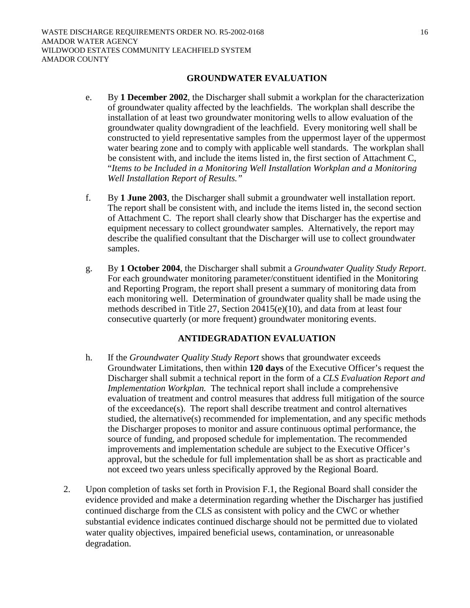## **GROUNDWATER EVALUATION**

- e. By **1 December 2002**, the Discharger shall submit a workplan for the characterization of groundwater quality affected by the leachfields. The workplan shall describe the installation of at least two groundwater monitoring wells to allow evaluation of the groundwater quality downgradient of the leachfield. Every monitoring well shall be constructed to yield representative samples from the uppermost layer of the uppermost water bearing zone and to comply with applicable well standards. The workplan shall be consistent with, and include the items listed in, the first section of Attachment C, "*Items to be Included in a Monitoring Well Installation Workplan and a Monitoring Well Installation Report of Results."*
- f. By **1 June 2003**, the Discharger shall submit a groundwater well installation report. The report shall be consistent with, and include the items listed in, the second section of Attachment C. The report shall clearly show that Discharger has the expertise and equipment necessary to collect groundwater samples. Alternatively, the report may describe the qualified consultant that the Discharger will use to collect groundwater samples.
- g. By **1 October 2004**, the Discharger shall submit a *Groundwater Quality Study Report*. For each groundwater monitoring parameter/constituent identified in the Monitoring and Reporting Program, the report shall present a summary of monitoring data from each monitoring well. Determination of groundwater quality shall be made using the methods described in Title 27, Section 20415(e)(10), and data from at least four consecutive quarterly (or more frequent) groundwater monitoring events.

# **ANTIDEGRADATION EVALUATION**

- h. If the *Groundwater Quality Study Report* shows that groundwater exceeds Groundwater Limitations, then within **120 days** of the Executive Officer's request the Discharger shall submit a technical report in the form of a *CLS Evaluation Report and Implementation Workplan.* The technical report shall include a comprehensive evaluation of treatment and control measures that address full mitigation of the source of the exceedance(s). The report shall describe treatment and control alternatives studied, the alternative(s) recommended for implementation, and any specific methods the Discharger proposes to monitor and assure continuous optimal performance, the source of funding, and proposed schedule for implementation. The recommended improvements and implementation schedule are subject to the Executive Officer's approval, but the schedule for full implementation shall be as short as practicable and not exceed two years unless specifically approved by the Regional Board.
- 2. Upon completion of tasks set forth in Provision F.1, the Regional Board shall consider the evidence provided and make a determination regarding whether the Discharger has justified continued discharge from the CLS as consistent with policy and the CWC or whether substantial evidence indicates continued discharge should not be permitted due to violated water quality objectives, impaired beneficial usews, contamination, or unreasonable degradation.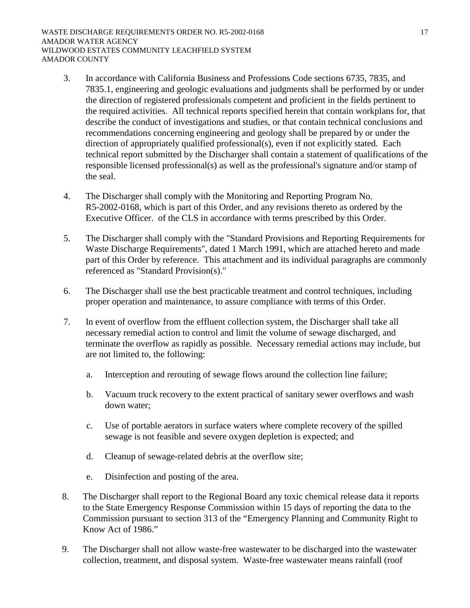- 3. In accordance with California Business and Professions Code sections 6735, 7835, and 7835.1, engineering and geologic evaluations and judgments shall be performed by or under the direction of registered professionals competent and proficient in the fields pertinent to the required activities. All technical reports specified herein that contain workplans for, that describe the conduct of investigations and studies, or that contain technical conclusions and recommendations concerning engineering and geology shall be prepared by or under the direction of appropriately qualified professional(s), even if not explicitly stated. Each technical report submitted by the Discharger shall contain a statement of qualifications of the responsible licensed professional(s) as well as the professional's signature and/or stamp of the seal.
- 4. The Discharger shall comply with the Monitoring and Reporting Program No. R5-2002-0168, which is part of this Order, and any revisions thereto as ordered by the Executive Officer. of the CLS in accordance with terms prescribed by this Order.
- 5. The Discharger shall comply with the "Standard Provisions and Reporting Requirements for Waste Discharge Requirements", dated 1 March 1991, which are attached hereto and made part of this Order by reference. This attachment and its individual paragraphs are commonly referenced as "Standard Provision(s)."
- 6. The Discharger shall use the best practicable treatment and control techniques, including proper operation and maintenance, to assure compliance with terms of this Order.
- 7. In event of overflow from the effluent collection system, the Discharger shall take all necessary remedial action to control and limit the volume of sewage discharged, and terminate the overflow as rapidly as possible. Necessary remedial actions may include, but are not limited to, the following:
	- a. Interception and rerouting of sewage flows around the collection line failure;
	- b. Vacuum truck recovery to the extent practical of sanitary sewer overflows and wash down water;
	- c. Use of portable aerators in surface waters where complete recovery of the spilled sewage is not feasible and severe oxygen depletion is expected; and
	- d. Cleanup of sewage-related debris at the overflow site;
	- e. Disinfection and posting of the area.
- 8. The Discharger shall report to the Regional Board any toxic chemical release data it reports to the State Emergency Response Commission within 15 days of reporting the data to the Commission pursuant to section 313 of the "Emergency Planning and Community Right to Know Act of 1986."
- 9. The Discharger shall not allow waste-free wastewater to be discharged into the wastewater collection, treatment, and disposal system. Waste-free wastewater means rainfall (roof